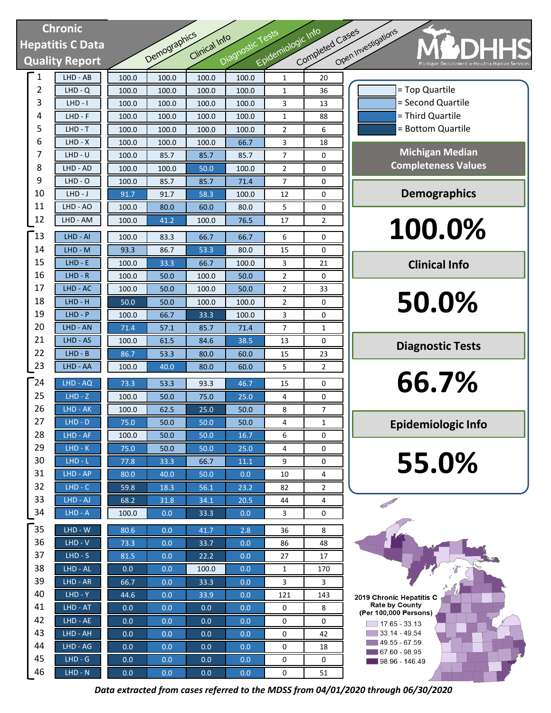# **Chronic Hepatitis C Data Quality Report**

| <b>Chronic</b> |                        |       |              |               |                  |                    |                 |                                      |
|----------------|------------------------|-------|--------------|---------------|------------------|--------------------|-----------------|--------------------------------------|
|                | <b>epatitis C Data</b> |       |              | Clinical Info |                  |                    |                 |                                      |
|                | <b>Quality Report</b>  |       | Demographics |               | Diagnostic Tests | Epidemiologic Info | Completed Cases | Open Investigations                  |
| $\mathbf{1}$   | LHD - AB               | 100.0 | 100.0        | 100.0         | 100.0            | 1                  | 20              |                                      |
| $\overline{2}$ | $LHD - Q$              | 100.0 | 100.0        | 100.0         | 100.0            | 1                  | 36              |                                      |
| 3              | $LHD - I$              | 100.0 | 100.0        | 100.0         | 100.0            | 3                  | 13              |                                      |
| 4              | $LHD - F$              | 100.0 | 100.0        | 100.0         | 100.0            | 1                  | 88              |                                      |
| 5              | $LHD - T$              | 100.0 | 100.0        | 100.0         | 100.0            | $\overline{2}$     | 6               |                                      |
| 6              | $LHD - X$              | 100.0 | 100.0        | 100.0         | 66.7             | 3                  | 18              |                                      |
| 7              | $LHD - U$              | 100.0 | 85.7         | 85.7          | 85.7             | 7                  | 0               |                                      |
| 8              | LHD - AD               | 100.0 | 100.0        | 50.0          | 100.0            | 2                  | 0               | Co                                   |
| 9              | $LHD - O$              | 100.0 | 85.7         | 85.7          | 71.4             | 7                  | 0               |                                      |
| 10             | $LHD-J$                | 91.7  | 91.7         | 58.3          | 100.0            | 12                 | 0               |                                      |
| 11             | LHD - AO               | 100.0 | 80.0         | 60.0          | 80.0             | 5                  | 0               |                                      |
| 12             | LHD - AM               | 100.0 | 41.2         | 100.0         | 76.5             | 17                 | 2               |                                      |
| $\mathsf{I}3$  | LHD - AI               | 100.0 | 83.3         | 66.7          | 66.7             | 6                  | 0               |                                      |
| 14             | LHD - M                | 93.3  | 86.7         | 53.3          | 80.0             | 15                 | 0               |                                      |
| 15             | $LHD - E$              | 100.0 | 33.3         | 66.7          | 100.0            | 3                  | 21              |                                      |
| 16             | $LHD - R$              | 100.0 | 50.0         | 100.0         | 50.0             | 2                  | 0               |                                      |
| 17             | LHD - AC               | 100.0 | 50.0         | 100.0         | 50.0             | 2                  | 33              |                                      |
| 18             | $LHD - H$              | 50.0  | 50.0         | 100.0         | 100.0            | 2                  | 0               |                                      |
| 19             | $LHD - P$              | 100.0 | 66.7         | 33.3          | 100.0            | 3                  | 0               |                                      |
| 20             | LHD - AN               | 71.4  | 57.1         | 85.7          | 71.4             | 7                  | 1               |                                      |
| 21             | LHD - AS               | 100.0 | 61.5         | 84.6          | 38.5             | 13                 | 0               |                                      |
| 22             | $LHD - B$              | 86.7  | 53.3         | 80.0          | 60.0             | 15                 | 23              |                                      |
| 23             | LHD - AA               | 100.0 | 40.0         | 80.0          | 60.0             | 5                  | 2               |                                      |
| $\Gamma$ 24    | LHD - AQ               | 73.3  | 53.3         | 93.3          | 46.7             | 15                 | 0               |                                      |
| 25             | $LHD - Z$              | 100.0 | 50.0         | 75.0          | 25.0             | 4                  | 0               |                                      |
| 26             | LHD - AK               | 100.0 | 62.5         | 25.0          | 50.0             | 8                  | 7               |                                      |
| 27             | $LHD - D$              | 75.0  | 50.0         | 50.0          | 50.0             | 4                  | 1               | Ep                                   |
| 28             | LHD - AF               | 100.0 | 50.0         | 50.0          | 16.7             | 6                  | 0               |                                      |
| 29             | $LHD-K$                | 75.0  | 50.0         | 50.0          | 25.0             | 4                  | 0               |                                      |
| 30             | $LHD-L$                | 77.8  | 33.3         | 66.7          | 11.1             | 9                  | 0               |                                      |
| 31             | LHD - AP               | 80.0  | 40.0         | 50.0          | 0.0              | 10                 | 4               |                                      |
| 32             | $LHD - C$              | 59.8  | 18.3         | 56.1          | 23.2             | 82                 | 2               |                                      |
| 33             | LHD - AJ               | 68.2  | 31.8         | 34.1          | 20.5             | 44                 | 4               |                                      |
| 34             | $LHD - A$              | 100.0 | 0.0          | 33.3          | 0.0              | 3                  | 0               |                                      |
| $35$           | $LHD - W$              | 80.6  | 0.0          | 41.7          | 2.8              | 36                 | 8               |                                      |
| 36             | $LHD - V$              | 73.3  | 0.0          | 33.7          | 0.0              | 86                 | 48              |                                      |
| 37             | $LHD-S$                | 81.5  | 0.0          | 22.2          | 0.0              | 27                 | 17              |                                      |
| 38             | LHD - AL               | 0.0   | 0.0          | 100.0         | 0.0              | 1                  | 170             |                                      |
| 39             | LHD - AR               | 66.7  | 0.0          | 33.3          | 0.0              | 3                  | 3               |                                      |
| 40             | $LHD - Y$              | 44.6  | 0.0          | 33.9          | 0.0              | 121                | 143             | 2019 Chronic                         |
| 41             | LHD - AT               | 0.0   | 0.0          | 0.0           | 0.0              | 0                  | 8               | Rate by C<br>(Per 100,000            |
| 42             | LHD - AE               | 0.0   | 0.0          | 0.0           | 0.0              | 0                  | 0               | $\boxed{17.65}$                      |
| 43             | LHD - AH               | 0.0   | 0.0          | 0.0           | 0.0              | 0                  | 42              | $\Box$ 33.14 -                       |
| 44             | LHD - AG               | 0.0   | 0.0          | 0.0           | 0.0              | 0                  | 18              | $-49.55 -$<br>$\blacksquare$ 67.60 - |
| 45             | $LHD - G$              | 0.0   | 0.0          | 0.0           | 0.0              | 0                  | 0               | $198.96 -$                           |
| 46             | $LHD - N$              | 0.0   | 0.0          | 0.0           | 0.0              | 0                  | 51              |                                      |

= Bottom Quartile = Third Quartile = Second Quartile **Michigan Median Completeness Values Demographics**

= Top Quartile

**100.0%**

**Clinical Info**

**50.0%**

**Diagnostic Tests**

**66.7%**

**Epidemiologic Info**

**55.0%**

2019 Chronic Hepatitis C Rate by County (Per 100,000 Persons)  $\boxed{ }$  17.65 - 33.13  $33.14 - 49.54$  $19.55 - 67.59$  $\blacksquare$  67.60 - 98.95 98.96 - 146.49

*Data extracted from cases referred to the MDSS from 04/01/2020 through 06/30/2020*